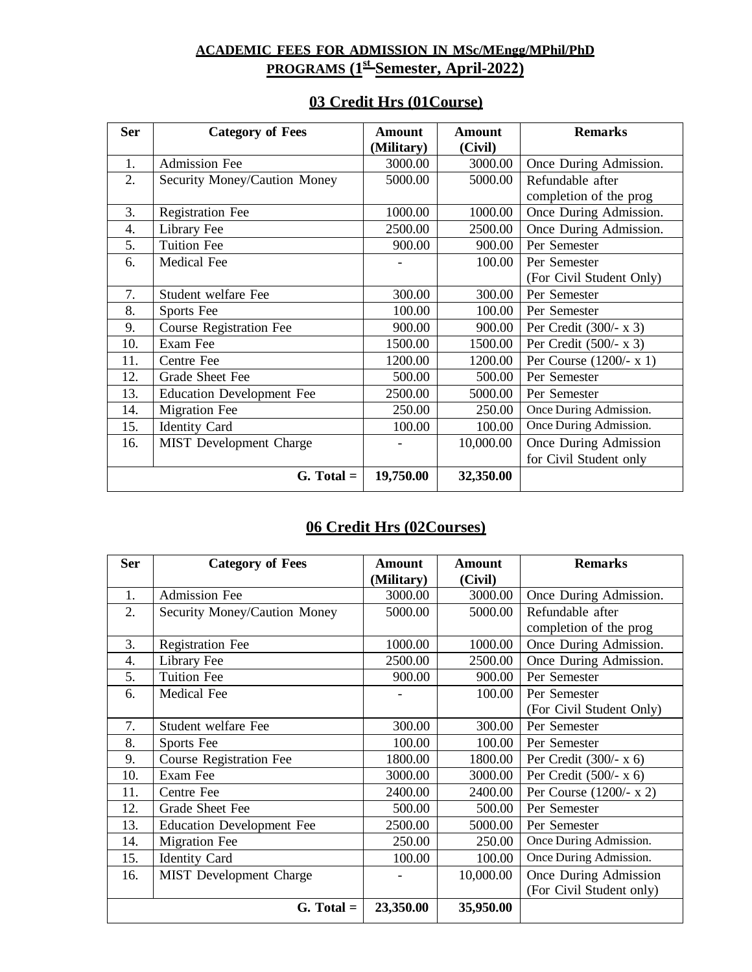**ACADEMIC FEES FOR ADMISSION IN MSc/MEngg/MPhil/PhD PROGRAMS (1st Semester, April-2022)**

| 03 Credit Hrs (01 Course) |  |
|---------------------------|--|
|---------------------------|--|

| <b>Ser</b> | <b>Category of Fees</b>          | Amount     | <b>Amount</b> | <b>Remarks</b>            |  |
|------------|----------------------------------|------------|---------------|---------------------------|--|
|            |                                  | (Military) | (Civil)       |                           |  |
| 1.         | <b>Admission Fee</b>             | 3000.00    | 3000.00       | Once During Admission.    |  |
| 2.         | Security Money/Caution Money     | 5000.00    | 5000.00       | Refundable after          |  |
|            |                                  |            |               | completion of the prog    |  |
| 3.         | <b>Registration Fee</b>          | 1000.00    | 1000.00       | Once During Admission.    |  |
| 4.         | Library Fee                      | 2500.00    | 2500.00       | Once During Admission.    |  |
| 5.         | <b>Tuition Fee</b>               | 900.00     | 900.00        | Per Semester              |  |
| 6.         | <b>Medical Fee</b>               |            | 100.00        | Per Semester              |  |
|            |                                  |            |               | (For Civil Student Only)  |  |
| 7.         | Student welfare Fee              | 300.00     | 300.00        | Per Semester              |  |
| 8.         | Sports Fee                       | 100.00     | 100.00        | Per Semester              |  |
| 9.         | <b>Course Registration Fee</b>   | 900.00     | 900.00        | Per Credit $(300/- x 3)$  |  |
| 10.        | Exam Fee                         | 1500.00    | 1500.00       | Per Credit $(500/- x 3)$  |  |
| 11.        | Centre Fee                       | 1200.00    | 1200.00       | Per Course $(1200/- x 1)$ |  |
| 12.        | Grade Sheet Fee                  | 500.00     | 500.00        | Per Semester              |  |
| 13.        | <b>Education Development Fee</b> | 2500.00    | 5000.00       | Per Semester              |  |
| 14.        | <b>Migration Fee</b>             | 250.00     | 250.00        | Once During Admission.    |  |
| 15.        | <b>Identity Card</b>             | 100.00     | 100.00        | Once During Admission.    |  |
| 16.        | MIST Development Charge          |            | 10,000.00     | Once During Admission     |  |
|            |                                  |            |               | for Civil Student only    |  |
|            | $G. Total =$                     | 19,750.00  | 32,350.00     |                           |  |

## **06 Credit Hrs (02Courses)**

| <b>Ser</b> | <b>Category of Fees</b>          | <b>Amount</b> | Amount    | <b>Remarks</b>            |  |
|------------|----------------------------------|---------------|-----------|---------------------------|--|
|            |                                  | (Military)    | (Civil)   |                           |  |
| 1.         | <b>Admission Fee</b>             | 3000.00       | 3000.00   | Once During Admission.    |  |
| 2.         | Security Money/Caution Money     | 5000.00       | 5000.00   | Refundable after          |  |
|            |                                  |               |           | completion of the prog    |  |
| 3.         | Registration Fee                 | 1000.00       | 1000.00   | Once During Admission.    |  |
| 4.         | Library Fee                      | 2500.00       | 2500.00   | Once During Admission.    |  |
| 5.         | <b>Tuition Fee</b>               | 900.00        | 900.00    | Per Semester              |  |
| 6.         | Medical Fee                      |               | 100.00    | Per Semester              |  |
|            |                                  |               |           | (For Civil Student Only)  |  |
| 7.         | Student welfare Fee              | 300.00        | 300.00    | Per Semester              |  |
| 8.         | Sports Fee                       | 100.00        | 100.00    | Per Semester              |  |
| 9.         | <b>Course Registration Fee</b>   | 1800.00       | 1800.00   | Per Credit $(300/- x 6)$  |  |
| 10.        | Exam Fee                         | 3000.00       | 3000.00   | Per Credit $(500/- x 6)$  |  |
| 11.        | Centre Fee                       | 2400.00       | 2400.00   | Per Course $(1200/- x 2)$ |  |
| 12.        | Grade Sheet Fee                  | 500.00        | 500.00    | Per Semester              |  |
| 13.        | <b>Education Development Fee</b> | 2500.00       | 5000.00   | Per Semester              |  |
| 14.        | <b>Migration Fee</b>             | 250.00        | 250.00    | Once During Admission.    |  |
| 15.        | <b>Identity Card</b>             | 100.00        | 100.00    | Once During Admission.    |  |
| 16.        | MIST Development Charge          |               | 10,000.00 | Once During Admission     |  |
|            |                                  |               |           | (For Civil Student only)  |  |
|            | $G. Total =$                     | 23,350.00     | 35,950.00 |                           |  |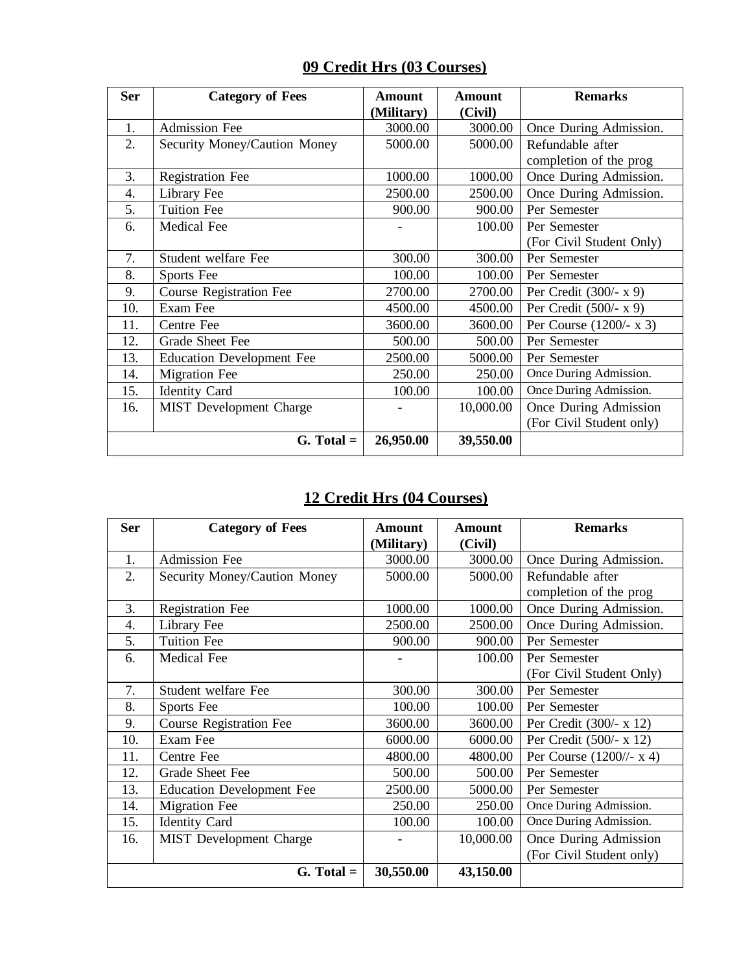| 09 Credit Hrs (03 Courses) |  |
|----------------------------|--|
|----------------------------|--|

| <b>Ser</b> | <b>Category of Fees</b>          | <b>Amount</b> | <b>Amount</b> | <b>Remarks</b>            |  |
|------------|----------------------------------|---------------|---------------|---------------------------|--|
|            |                                  | (Military)    | (Civil)       |                           |  |
| 1.         | <b>Admission Fee</b>             | 3000.00       | 3000.00       | Once During Admission.    |  |
| 2.         | Security Money/Caution Money     | 5000.00       | 5000.00       | Refundable after          |  |
|            |                                  |               |               | completion of the prog    |  |
| 3.         | <b>Registration Fee</b>          | 1000.00       | 1000.00       | Once During Admission.    |  |
| 4.         | Library Fee                      | 2500.00       | 2500.00       | Once During Admission.    |  |
| 5.         | <b>Tuition Fee</b>               | 900.00        | 900.00        | Per Semester              |  |
| 6.         | Medical Fee                      |               | 100.00        | Per Semester              |  |
|            |                                  |               |               | (For Civil Student Only)  |  |
| 7.         | Student welfare Fee              | 300.00        | 300.00        | Per Semester              |  |
| 8.         | Sports Fee                       | 100.00        | 100.00        | Per Semester              |  |
| 9.         | <b>Course Registration Fee</b>   | 2700.00       | 2700.00       | Per Credit $(300/- x 9)$  |  |
| 10.        | Exam Fee                         | 4500.00       | 4500.00       | Per Credit $(500/- x 9)$  |  |
| 11.        | Centre Fee                       | 3600.00       | 3600.00       | Per Course $(1200/- x 3)$ |  |
| 12.        | Grade Sheet Fee                  | 500.00        | 500.00        | Per Semester              |  |
| 13.        | <b>Education Development Fee</b> | 2500.00       | 5000.00       | Per Semester              |  |
| 14.        | <b>Migration Fee</b>             | 250.00        | 250.00        | Once During Admission.    |  |
| 15.        | <b>Identity Card</b>             | 100.00        | 100.00        | Once During Admission.    |  |
| 16.        | MIST Development Charge          |               | 10,000.00     | Once During Admission     |  |
|            |                                  |               |               | (For Civil Student only)  |  |
|            | $G. Total =$                     | 26,950.00     | 39,550.00     |                           |  |

## **12 Credit Hrs (04 Courses)**

| <b>Ser</b> | <b>Category of Fees</b>          | <b>Amount</b> | <b>Amount</b> | <b>Remarks</b>            |  |
|------------|----------------------------------|---------------|---------------|---------------------------|--|
|            |                                  | (Military)    | (Civil)       |                           |  |
| 1.         | <b>Admission Fee</b>             | 3000.00       | 3000.00       | Once During Admission.    |  |
| 2.         | Security Money/Caution Money     | 5000.00       | 5000.00       | Refundable after          |  |
|            |                                  |               |               | completion of the prog    |  |
| 3.         | <b>Registration Fee</b>          | 1000.00       | 1000.00       | Once During Admission.    |  |
| 4.         | Library Fee                      | 2500.00       | 2500.00       | Once During Admission.    |  |
| 5.         | <b>Tuition Fee</b>               | 900.00        | 900.00        | Per Semester              |  |
| 6.         | Medical Fee                      |               | 100.00        | Per Semester              |  |
|            |                                  |               |               | (For Civil Student Only)  |  |
| 7.         | Student welfare Fee              | 300.00        | 300.00        | Per Semester              |  |
| 8.         | Sports Fee                       | 100.00        | 100.00        | Per Semester              |  |
| 9.         | <b>Course Registration Fee</b>   | 3600.00       | 3600.00       | Per Credit (300/- x 12)   |  |
| 10.        | Exam Fee                         | 6000.00       | 6000.00       | Per Credit (500/- x 12)   |  |
| 11.        | Centre Fee                       | 4800.00       | 4800.00       | Per Course $(1200/- x 4)$ |  |
| 12.        | Grade Sheet Fee                  | 500.00        | 500.00        | Per Semester              |  |
| 13.        | <b>Education Development Fee</b> | 2500.00       | 5000.00       | Per Semester              |  |
| 14.        | <b>Migration Fee</b>             | 250.00        | 250.00        | Once During Admission.    |  |
| 15.        | <b>Identity Card</b>             | 100.00        | 100.00        | Once During Admission.    |  |
| 16.        | MIST Development Charge          |               | 10,000.00     | Once During Admission     |  |
|            |                                  |               |               | (For Civil Student only)  |  |
|            | $G. Total =$                     | 30,550.00     | 43,150.00     |                           |  |